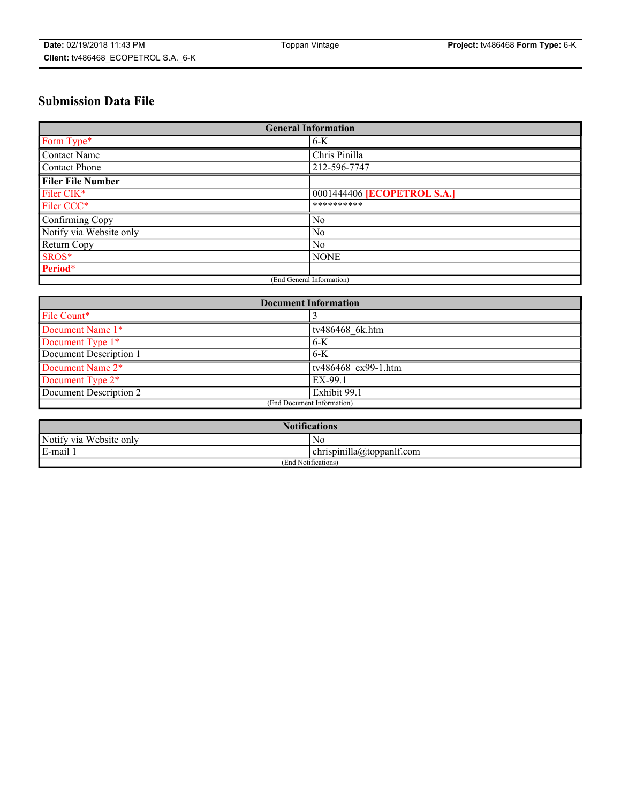# **Submission Data File**

| <b>General Information</b> |                             |
|----------------------------|-----------------------------|
| Form Type*                 | $6-K$                       |
| Contact Name               | Chris Pinilla               |
| Contact Phone              | 212-596-7747                |
| <b>Filer File Number</b>   |                             |
| Filer CIK*                 | 0001444406 [ECOPETROL S.A.] |
| Filer CCC*                 | **********                  |
| Confirming Copy            | No                          |
| Notify via Website only    | N <sub>0</sub>              |
| Return Copy                | No                          |
| SROS*                      | <b>NONE</b>                 |
| Period*                    |                             |
| (End General Information)  |                             |

| <b>Document Information</b> |                     |
|-----------------------------|---------------------|
| File Count*                 |                     |
| Document Name 1*            | tv486468 6k.htm     |
| Document Type 1*            | $6-K$               |
| Document Description 1      | 6-K                 |
| Document Name 2*            | tv486468 ex99-1.htm |
| Document Type 2*            | EX-99.1             |
| Document Description 2      | Exhibit 99.1        |
| (End Document Information)  |                     |

| <b>Notifications</b>    |                                        |  |
|-------------------------|----------------------------------------|--|
| Notify via Website only | N0                                     |  |
| E-mail 1                | <br>10<br> chrispinilla(a)toppanIt.com |  |
| (End Notifications)     |                                        |  |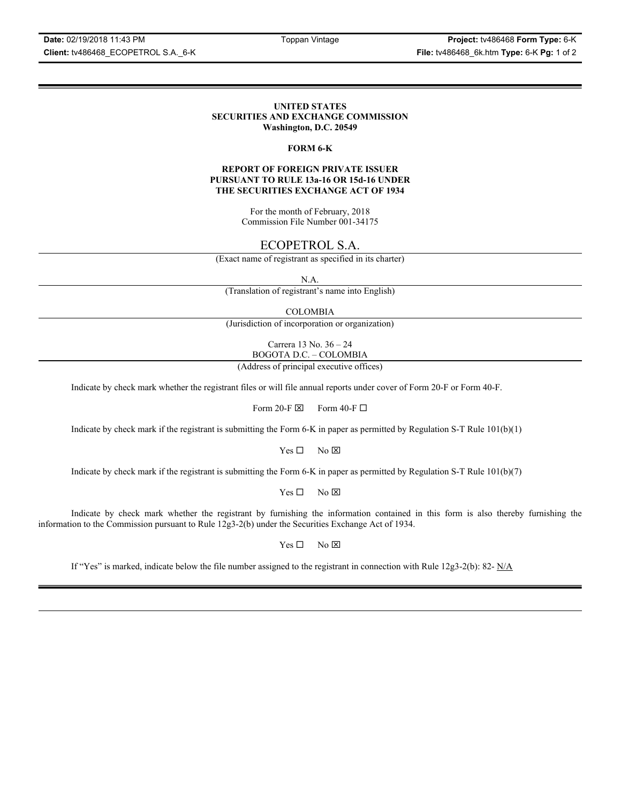**Date:** 02/19/2018 11:43 PM Toppan Vintage **Project:** tv486468 **Form Type:** 6-K **Client:** tv486468\_ECOPETROL S.A.\_6-K **File:** tv486468\_6k.htm **Type:** 6-K **Pg:** 1 of 2

### **UNITED STATES SECURITIES AND EXCHANGE COMMISSION Washington, D.C. 20549**

### **FORM 6-K**

### **REPORT OF FOREIGN PRIVATE ISSUER PURSUANT TO RULE 13a-16 OR 15d-16 UNDER THE SECURITIES EXCHANGE ACT OF 1934**

For the month of February, 2018 Commission File Number 001-34175

# ECOPETROL S.A.

(Exact name of registrant as specified in its charter)

N.A.

(Translation of registrant's name into English)

COLOMBIA

(Jurisdiction of incorporation or organization)

Carrera 13 No. 36 – 24 BOGOTA D.C. – COLOMBIA

(Address of principal executive offices)

Indicate by check mark whether the registrant files or will file annual reports under cover of Form 20-F or Form 40-F.

Form 20-F  $\boxtimes$  Form 40-F  $\Box$ 

Indicate by check mark if the registrant is submitting the Form 6-K in paper as permitted by Regulation S-T Rule 101(b)(1)

 $Yes \Box$  No  $\boxtimes$ 

Indicate by check mark if the registrant is submitting the Form 6-K in paper as permitted by Regulation S-T Rule 101(b)(7)

 $Yes \Box$  No  $\boxtimes$ 

Indicate by check mark whether the registrant by furnishing the information contained in this form is also thereby furnishing the information to the Commission pursuant to Rule 12g3-2(b) under the Securities Exchange Act of 1934.

 $Yes \Box$  No  $\boxtimes$ 

If "Yes" is marked, indicate below the file number assigned to the registrant in connection with Rule 12g3-2(b): 82-  $N/A$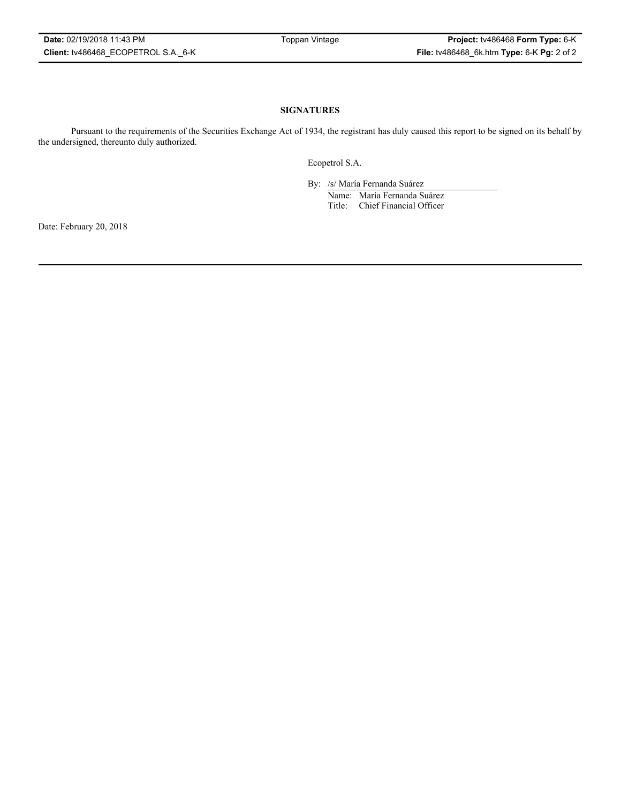### **SIGNATURES**

Pursuant to the requirements of the Securities Exchange Act of 1934, the registrant has duly caused this report to be signed on its behalf by the undersigned, thereunto duly authorized.

Ecopetrol S.A.

By: /s/ María Fernanda Suárez Name: María Fernanda Suárez Title: Chief Financial Officer

Date: February 20, 2018